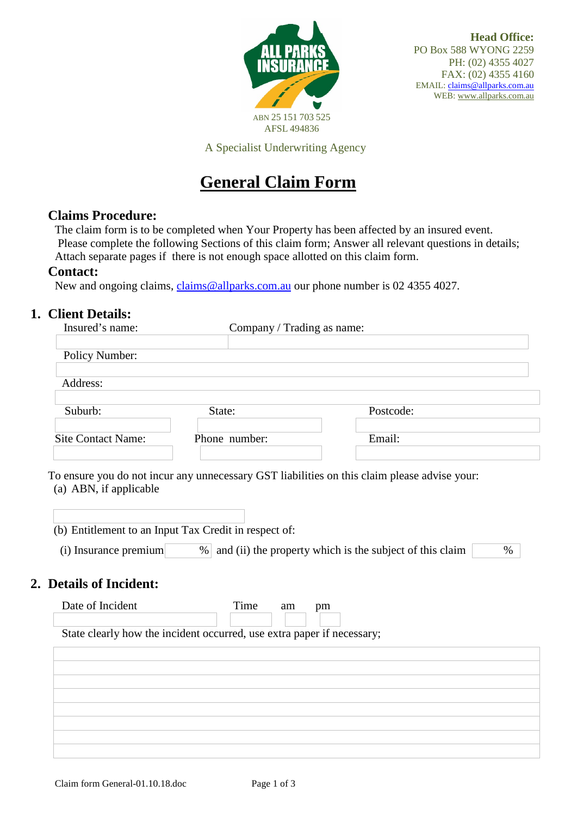

A Specialist Underwriting Agency

# **General Claim Form**

### **Claims Procedure:**

The claim form is to be completed when Your Property has been affected by an insured event. Please complete the following Sections of this claim form; Answer all relevant questions in details; Attach separate pages if there is not enough space allotted on this claim form.

#### **Contact:**

New and ongoing claims, [claims@allparks.com.au](mailto:claims@allparks.com.au) our phone number is 02 4355 4027.

# **1. Client Details:**

| Insured's name:                                  | Company / Trading as name:                                             |                                                                      |
|--------------------------------------------------|------------------------------------------------------------------------|----------------------------------------------------------------------|
| Policy Number:                                   |                                                                        |                                                                      |
| Address:                                         |                                                                        |                                                                      |
| Suburb:                                          | State:                                                                 | Postcode:                                                            |
| <b>Site Contact Name:</b>                        | Phone number:                                                          | Email:                                                               |
| (i) Insurance premium<br>2. Details of Incident: | (b) Entitlement to an Input Tax Credit in respect of:                  | $%$ and (ii) the property which is the subject of this claim<br>$\%$ |
| Date of Incident                                 | Time<br>$\rm am$                                                       | pm                                                                   |
|                                                  | State clearly how the incident occurred, use extra paper if necessary; |                                                                      |
|                                                  |                                                                        |                                                                      |
|                                                  |                                                                        |                                                                      |
|                                                  |                                                                        |                                                                      |
|                                                  |                                                                        |                                                                      |
|                                                  |                                                                        |                                                                      |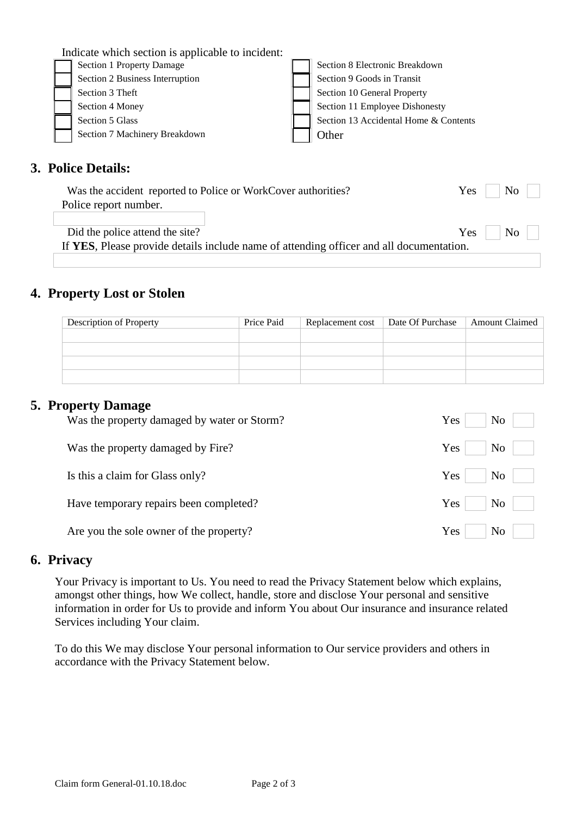| Indicate which section is applicable to incident: |                                       |
|---------------------------------------------------|---------------------------------------|
| Section 1 Property Damage                         | Section 8 Electronic Breakdown        |
| Section 2 Business Interruption                   | Section 9 Goods in Transit            |
| Section 3 Theft                                   | Section 10 General Property           |
| Section 4 Money                                   | Section 11 Employee Dishonesty        |
| Section 5 Glass                                   | Section 13 Accidental Home & Contents |
| Section 7 Machinery Breakdown                     | Other                                 |
|                                                   |                                       |
|                                                   |                                       |

# **3. Police Details:**

| Was the accident reported to Police or WorkCover authorities?                           | $\begin{array}{ c c c c c } \hline \text{No} & \text{ } \end{array}$<br>$Yes$ |
|-----------------------------------------------------------------------------------------|-------------------------------------------------------------------------------|
| Police report number.                                                                   |                                                                               |
|                                                                                         |                                                                               |
| Did the police attend the site?                                                         | $Yes \mid No \mid$                                                            |
| If YES, Please provide details include name of attending officer and all documentation. |                                                                               |

## **4. Property Lost or Stolen**

| Description of Property | Price Paid | Replacement cost | Date Of Purchase | <b>Amount Claimed</b> |
|-------------------------|------------|------------------|------------------|-----------------------|
|                         |            |                  |                  |                       |
|                         |            |                  |                  |                       |
|                         |            |                  |                  |                       |
|                         |            |                  |                  |                       |

#### **5. Property Damage**

| Was the property damaged by water or Storm? | Yes<br>N <sub>0</sub> |
|---------------------------------------------|-----------------------|
| Was the property damaged by Fire?           | Yes<br>No             |
| Is this a claim for Glass only?             | Yes<br>No             |
| Have temporary repairs been completed?      | Yes<br>N <sub>0</sub> |
| Are you the sole owner of the property?     | Yes<br>N <sub>0</sub> |

### **6. Privacy**

Your Privacy is important to Us. You need to read the Privacy Statement below which explains, amongst other things, how We collect, handle, store and disclose Your personal and sensitive information in order for Us to provide and inform You about Our insurance and insurance related Services including Your claim.

To do this We may disclose Your personal information to Our service providers and others in accordance with the Privacy Statement below.